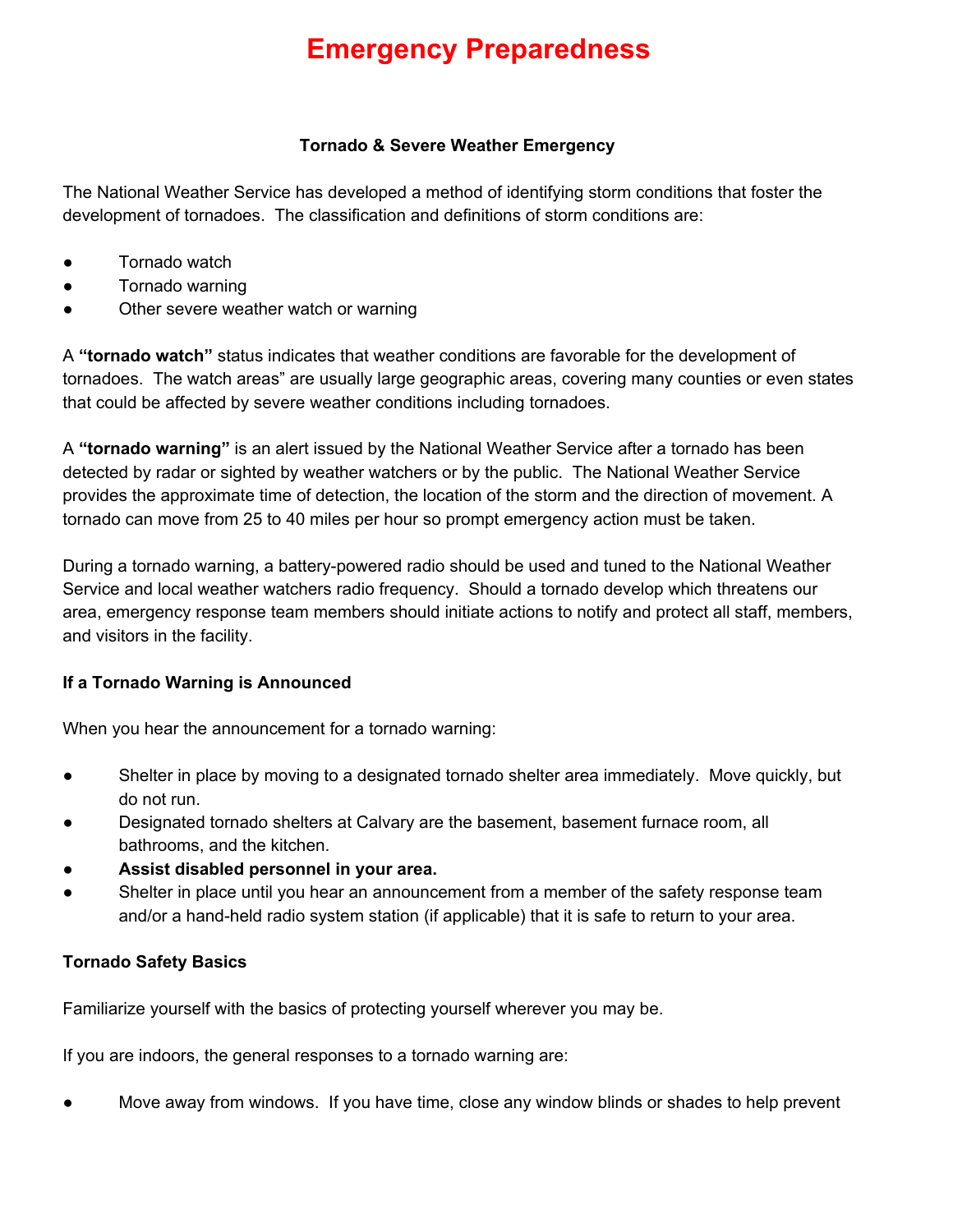# **Emergency Preparedness**

#### **Tornado & Severe Weather Emergency**

The National Weather Service has developed a method of identifying storm conditions that foster the development of tornadoes. The classification and definitions of storm conditions are:

- Tornado watch
- Tornado warning
- Other severe weather watch or warning

A **"tornado watch"** status indicates that weather conditions are favorable for the development of tornadoes. The watch areas" are usually large geographic areas, covering many counties or even states that could be affected by severe weather conditions including tornadoes.

A **"tornado warning"** is an alert issued by the National Weather Service after a tornado has been detected by radar or sighted by weather watchers or by the public. The National Weather Service provides the approximate time of detection, the location of the storm and the direction of movement. A tornado can move from 25 to 40 miles per hour so prompt emergency action must be taken.

During a tornado warning, a battery-powered radio should be used and tuned to the National Weather Service and local weather watchers radio frequency. Should a tornado develop which threatens our area, emergency response team members should initiate actions to notify and protect all staff, members, and visitors in the facility.

### **If a Tornado Warning is Announced**

When you hear the announcement for a tornado warning:

- Shelter in place by moving to a designated tornado shelter area immediately. Move quickly, but do not run.
- Designated tornado shelters at Calvary are the basement, basement furnace room, all bathrooms, and the kitchen.
- **● Assist disabled personnel in your area.**
- Shelter in place until you hear an announcement from a member of the safety response team and/or a hand-held radio system station (if applicable) that it is safe to return to your area.

### **Tornado Safety Basics**

Familiarize yourself with the basics of protecting yourself wherever you may be.

If you are indoors, the general responses to a tornado warning are:

Move away from windows. If you have time, close any window blinds or shades to help prevent